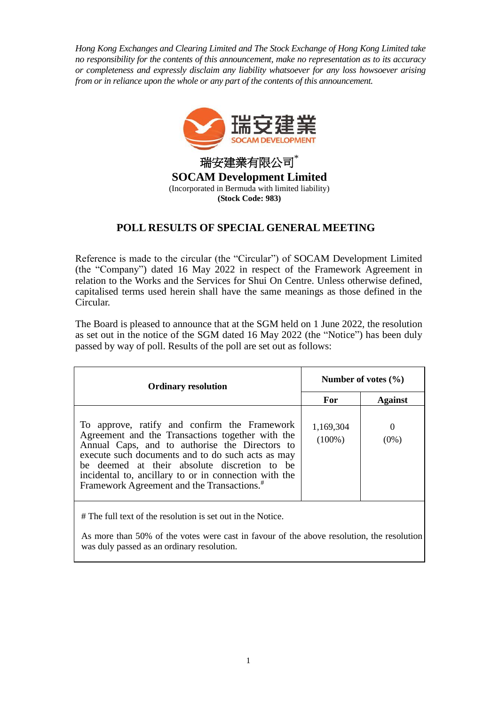*Hong Kong Exchanges and Clearing Limited and The Stock Exchange of Hong Kong Limited take no responsibility for the contents of this announcement, make no representation as to its accuracy or completeness and expressly disclaim any liability whatsoever for any loss howsoever arising from or in reliance upon the whole or any part of the contents of this announcement.*



## **POLL RESULTS OF SPECIAL GENERAL MEETING**

Reference is made to the circular (the "Circular") of SOCAM Development Limited (the "Company") dated 16 May 2022 in respect of the Framework Agreement in relation to the Works and the Services for Shui On Centre. Unless otherwise defined, capitalised terms used herein shall have the same meanings as those defined in the Circular.

The Board is pleased to announce that at the SGM held on 1 June 2022, the resolution as set out in the notice of the SGM dated 16 May 2022 (the "Notice") has been duly passed by way of poll. Results of the poll are set out as follows:

| <b>Ordinary resolution</b>                                                                                                                                                                                                                                                                                                                                                 | Number of votes $(\% )$ |                     |
|----------------------------------------------------------------------------------------------------------------------------------------------------------------------------------------------------------------------------------------------------------------------------------------------------------------------------------------------------------------------------|-------------------------|---------------------|
|                                                                                                                                                                                                                                                                                                                                                                            | For                     | <b>Against</b>      |
| To approve, ratify and confirm the Framework<br>Agreement and the Transactions together with the<br>Annual Caps, and to authorise the Directors to<br>execute such documents and to do such acts as may<br>be deemed at their absolute discretion to be<br>incidental to, ancillary to or in connection with the<br>Framework Agreement and the Transactions. <sup>#</sup> | 1,169,304<br>$(100\%)$  | $\theta$<br>$(0\%)$ |

# The full text of the resolution is set out in the Notice.

As more than 50% of the votes were cast in favour of the above resolution, the resolution was duly passed as an ordinary resolution.